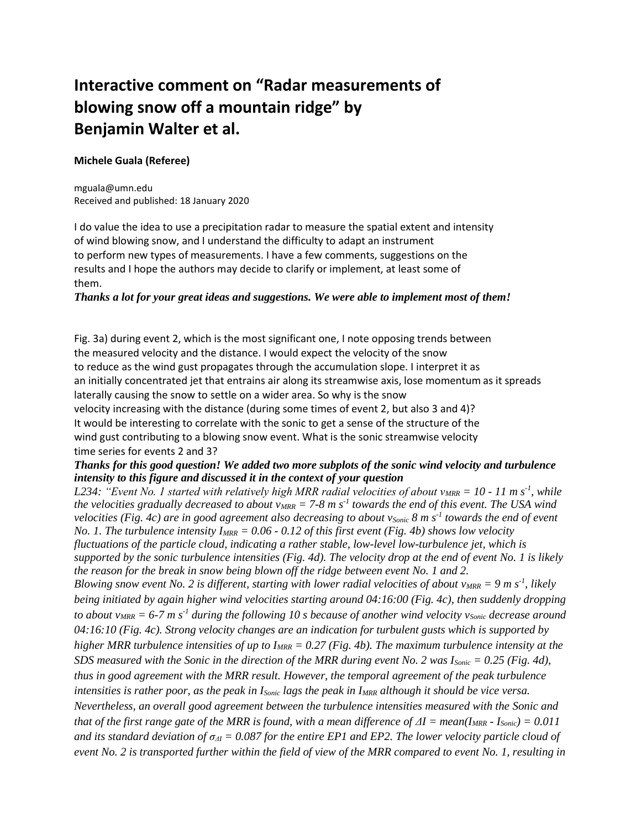# **Interactive comment on "Radar measurements of blowing snow off a mountain ridge" by Benjamin Walter et al.**

## **Michele Guala (Referee)**

mguala@umn.edu Received and published: 18 January 2020

I do value the idea to use a precipitation radar to measure the spatial extent and intensity of wind blowing snow, and I understand the difficulty to adapt an instrument to perform new types of measurements. I have a few comments, suggestions on the results and I hope the authors may decide to clarify or implement, at least some of them.

*Thanks a lot for your great ideas and suggestions. We were able to implement most of them!*

Fig. 3a) during event 2, which is the most significant one, I note opposing trends between the measured velocity and the distance. I would expect the velocity of the snow to reduce as the wind gust propagates through the accumulation slope. I interpret it as an initially concentrated jet that entrains air along its streamwise axis, lose momentum as it spreads laterally causing the snow to settle on a wider area. So why is the snow velocity increasing with the distance (during some times of event 2, but also 3 and 4)? It would be interesting to correlate with the sonic to get a sense of the structure of the wind gust contributing to a blowing snow event. What is the sonic streamwise velocity time series for events 2 and 3?

# *Thanks for this good question! We added two more subplots of the sonic wind velocity and turbulence intensity to this figure and discussed it in the context of your question*

*L234: "Event No. 1 started with relatively high MRR radial velocities of about vMRR = 10 - 11 m s-1 , while the velocities gradually decreased to about vMRR = 7-8 m s-1 towards the end of this event. The USA wind velocities (Fig. 4c) are in good agreement also decreasing to about vSonic 8 m s-1 towards the end of event No. 1. The turbulence intensity IMRR = 0.06 - 0.12 of this first event (Fig. 4b) shows low velocity fluctuations of the particle cloud, indicating a rather stable, low-level low-turbulence jet, which is supported by the sonic turbulence intensities (Fig. 4d). The velocity drop at the end of event No. 1 is likely the reason for the break in snow being blown off the ridge between event No. 1 and 2. Blowing snow event No. 2 is different, starting with lower radial velocities of about*  $v_{MRR} = 9$  *m s<sup>-1</sup>, likely being initiated by again higher wind velocities starting around 04:16:00 (Fig. 4c), then suddenly dropping to about vMRR = 6-7 m s-1 during the following 10 s because of another wind velocity vSonic decrease around 04:16:10 (Fig. 4c). Strong velocity changes are an indication for turbulent gusts which is supported by higher MRR turbulence intensities of up to IMRR = 0.27 (Fig. 4b). The maximum turbulence intensity at the SDS measured with the Sonic in the direction of the MRR during event No. 2 was ISonic = 0.25 (Fig. 4d), thus in good agreement with the MRR result. However, the temporal agreement of the peak turbulence intensities is rather poor, as the peak in ISonic lags the peak in IMRR although it should be vice versa. Nevertheless, an overall good agreement between the turbulence intensities measured with the Sonic and that of the first range gate of the MRR is found, with a mean difference of*  $\Delta I = \text{mean}(I_{MRR} - I_{Sonic}) = 0.011$ *and its standard deviation of*  $\sigma_{\Delta l} = 0.087$  *for the entire EP1 and EP2. The lower velocity particle cloud of event No. 2 is transported further within the field of view of the MRR compared to event No. 1, resulting in*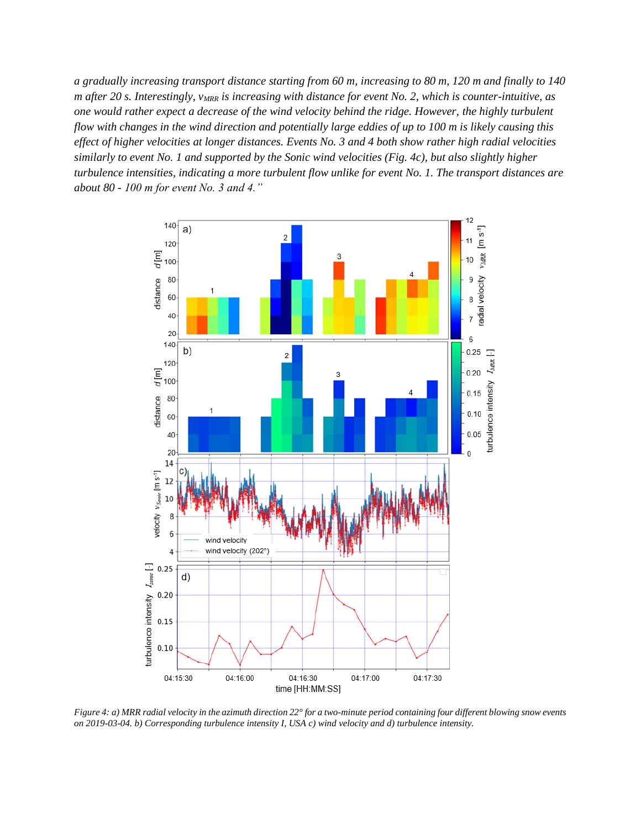*a gradually increasing transport distance starting from 60 m, increasing to 80 m, 120 m and finally to 140 m after 20 s. Interestingly, vMRR is increasing with distance for event No. 2, which is counter-intuitive, as one would rather expect a decrease of the wind velocity behind the ridge. However, the highly turbulent flow with changes in the wind direction and potentially large eddies of up to 100 m is likely causing this effect of higher velocities at longer distances. Events No. 3 and 4 both show rather high radial velocities similarly to event No. 1 and supported by the Sonic wind velocities (Fig. 4c), but also slightly higher turbulence intensities, indicating a more turbulent flow unlike for event No. 1. The transport distances are about 80 - 100 m for event No. 3 and 4."* 



*Figure 4: a) MRR radial velocity in the azimuth direction 22° for a two-minute period containing four different blowing snow events on 2019-03-04. b) Corresponding turbulence intensity I, USA c) wind velocity and d) turbulence intensity.*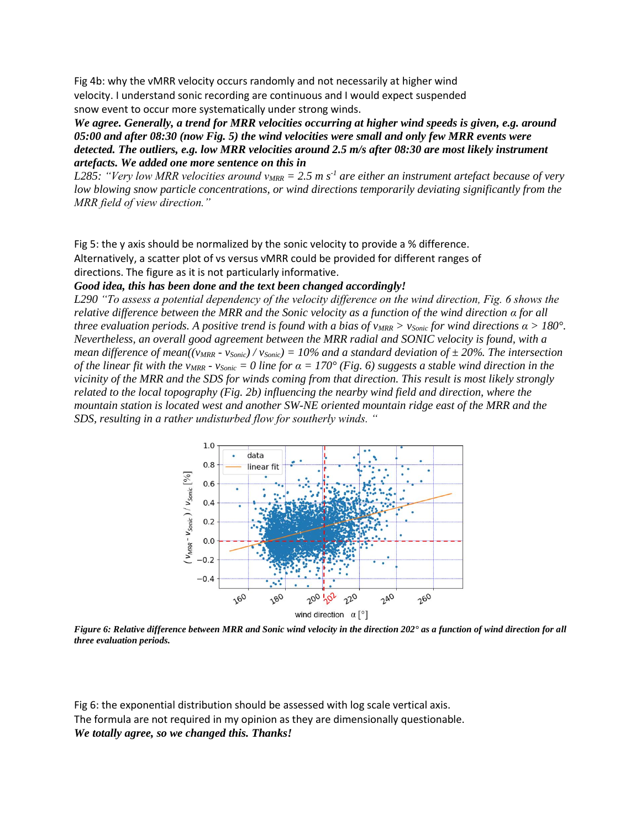Fig 4b: why the vMRR velocity occurs randomly and not necessarily at higher wind velocity. I understand sonic recording are continuous and I would expect suspended snow event to occur more systematically under strong winds.

*We agree. Generally, a trend for MRR velocities occurring at higher wind speeds is given, e.g. around 05:00 and after 08:30 (now Fig. 5) the wind velocities were small and only few MRR events were detected. The outliers, e.g. low MRR velocities around 2.5 m/s after 08:30 are most likely instrument artefacts. We added one more sentence on this in* 

*L285: "Very low MRR velocities around vMRR = 2.5 m s-1 are either an instrument artefact because of very low blowing snow particle concentrations, or wind directions temporarily deviating significantly from the MRR field of view direction."* 

Fig 5: the y axis should be normalized by the sonic velocity to provide a % difference. Alternatively, a scatter plot of vs versus vMRR could be provided for different ranges of directions. The figure as it is not particularly informative.

# *Good idea, this has been done and the text been changed accordingly!*

*L290 "To assess a potential dependency of the velocity difference on the wind direction, Fig. 6 shows the relative difference between the MRR and the Sonic velocity as a function of the wind direction α for all three evaluation periods. A positive trend is found with a bias of*  $v_{MR} > v_{Sonic}$  *for wind directions*  $\alpha > 180^\circ$ *. Nevertheless, an overall good agreement between the MRR radial and SONIC velocity is found, with a mean difference of mean((* $v_{MRR}$  *-*  $v_{Sonic}$ *) /*  $v_{Sonic}$ *) = 10% and a standard deviation of*  $\pm$  *20%. The intersection of the linear fit with the v<sub>MRR</sub>*  $\cdot$  *v<sub>Sonic</sub>*  $= 0$  *line for*  $\alpha = 170^{\circ}$  *(Fig. 6) suggests a stable wind direction in the vicinity of the MRR and the SDS for winds coming from that direction. This result is most likely strongly related to the local topography (Fig. 2b) influencing the nearby wind field and direction, where the mountain station is located west and another SW-NE oriented mountain ridge east of the MRR and the SDS, resulting in a rather undisturbed flow for southerly winds. "*



*Figure 6: Relative difference between MRR and Sonic wind velocity in the direction 202° as a function of wind direction for all three evaluation periods.*

Fig 6: the exponential distribution should be assessed with log scale vertical axis. The formula are not required in my opinion as they are dimensionally questionable. *We totally agree, so we changed this. Thanks!*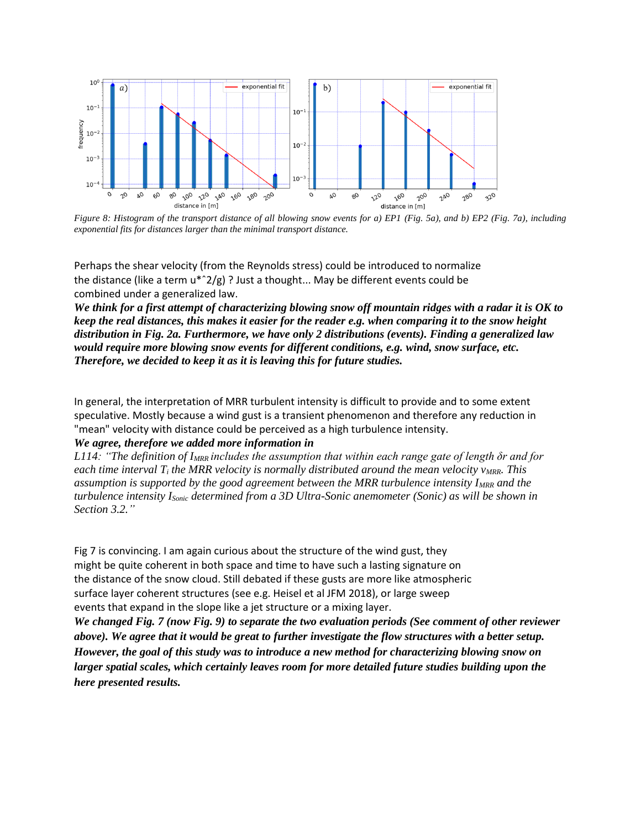

*Figure 8: Histogram of the transport distance of all blowing snow events for a) EP1 (Fig. 5a), and b) EP2 (Fig. 7a), including exponential fits for distances larger than the minimal transport distance.*

Perhaps the shear velocity (from the Reynolds stress) could be introduced to normalize the distance (like a term  $u^*$  2/g) ? Just a thought... May be different events could be combined under a generalized law.

*We think for a first attempt of characterizing blowing snow off mountain ridges with a radar it is OK to keep the real distances, this makes it easier for the reader e.g. when comparing it to the snow height distribution in Fig. 2a. Furthermore, we have only 2 distributions (events). Finding a generalized law would require more blowing snow events for different conditions, e.g. wind, snow surface, etc. Therefore, we decided to keep it as it is leaving this for future studies.* 

In general, the interpretation of MRR turbulent intensity is difficult to provide and to some extent speculative. Mostly because a wind gust is a transient phenomenon and therefore any reduction in "mean" velocity with distance could be perceived as a high turbulence intensity.

#### *We agree, therefore we added more information in*

*L114: "The definition of IMRR includes the assumption that within each range gate of length δr and for each time interval T<sup>i</sup> the MRR velocity is normally distributed around the mean velocity vMRR. This assumption is supported by the good agreement between the MRR turbulence intensity IMRR and the turbulence intensity ISonic determined from a 3D Ultra-Sonic anemometer (Sonic) as will be shown in Section 3.2."*

Fig 7 is convincing. I am again curious about the structure of the wind gust, they might be quite coherent in both space and time to have such a lasting signature on the distance of the snow cloud. Still debated if these gusts are more like atmospheric surface layer coherent structures (see e.g. Heisel et al JFM 2018), or large sweep events that expand in the slope like a jet structure or a mixing layer.

*We changed Fig. 7 (now Fig. 9) to separate the two evaluation periods (See comment of other reviewer above). We agree that it would be great to further investigate the flow structures with a better setup. However, the goal of this study was to introduce a new method for characterizing blowing snow on larger spatial scales, which certainly leaves room for more detailed future studies building upon the here presented results.*